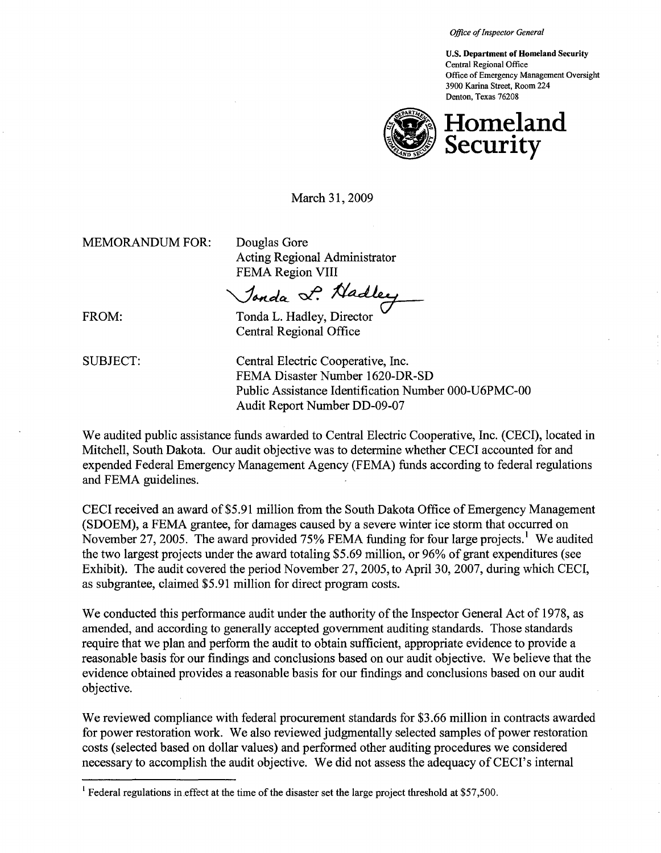**Office of Inspector General** 

U.S. Department of Homeland Security Central Regional Office Office of Emergency Management Oversight 3900 Karina Street, Room 224 Denton, Texas 76208



March 31, 2009

MEMORANDUM FOR: Douglas Gore

Acting Regional Administrator FEMA Region VIII

Jonda L. Nadley

FROM: Tonda L. Hadley, Director Central Regional Office

SUBJECT: Central Electric Cooperative, Inc. FEMA Disaster Number 1620-DR-SD Public Assistance Identification Number 000-U6PMC-00 Audit Report Number DD-09-07

We audited public assistance funds awarded to Central Electric Cooperative, Inc. (CECI), located in Mitchell, South Dakota. Our audit objective was to determine whether CECI accounted for and expended Federal Emergency Management Agency (FEMA) funds according to federal regulations and FEMA guidelines.

CECI received an award of\$5.91 million from the South Dakota Office of Emergency Management (SDOEM), a FEMA grantee, for damages caused by a severe winter ice storm that occurred on November 27, 2005. The award provided 75% FEMA funding for four large projects.<sup>1</sup> We audited the two largest projects under the award totaling \$5.69 million, or 96% of grant expenditures (see Exhibit). The audit covered the period November 27,2005, to April 30, 2007, during which CECI, as subgrantee, claimed \$5.91 million for direct program costs.

We conducted this performance audit under the authority of the Inspector General Act of 1978, as amended, and according to generally accepted government auditing standards. Those standards require that we plan and perform the audit to obtain sufficient, appropriate evidence to provide a reasonable basis for our findings and conclusions based on our audit objective. We believe that the evidence obtained provides a reasonable basis for our findings and conclusions based on our audit objective.

We reviewed compliance with federal procurement standards for \$3.66 million in contracts awarded for power restoration work. We also reviewed judgmentally selected samples of power restoration costs (selected based on dollar values) and performed other auditing procedures we considered necessary to accomplish the audit objective. We did not assess the adequacy of CECI's internal

<sup>&</sup>lt;sup>1</sup> Federal regulations in effect at the time of the disaster set the large project threshold at \$57,500.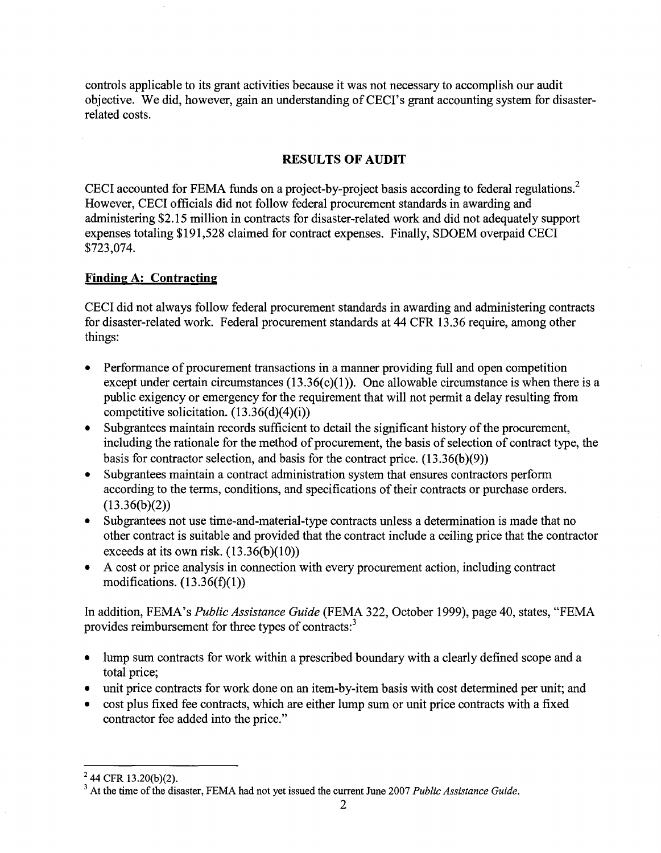controls applicable to its grant activities because it was not necessary to accomplish our audit objective. We did, however, gain an understanding of CECI's grant accounting system for disasterrelated costs.

## **RESULTS OF AUDIT**

CECI accounted for FEMA funds on a project-by-project basis according to federal regulations.<sup>2</sup> However, CECI officials did not follow federal procurement standards in awarding and administering \$2.15 million in contracts for disaster-related work and did not adequately support expenses totaling \$191,528 claimed for contract expenses. Finally, SDOEM overpaid CECI \$723,074.

## **Finding A: Contracting**

CECI did not always follow federal procurement standards in awarding and administering contracts for disaster-related work. Federal procurement standards at 44 CFR 13.36 require, among other things:

- Performance of procurement transactions in a manner providing full and open competition except under certain circumstances  $(13.36(c)(1))$ . One allowable circumstance is when there is a public exigency or emergency for the requirement that will not permit a delay resulting from competitive solicitation.  $(13.36(d)(4)(i))$
- Subgrantees maintain records sufficient to detail the significant history of the procurement, including the rationale for the method of procurement, the basis of selection of contract type, the basis for contractor selection, and basis for the contract price.  $(13.36(b)(9))$
- Subgrantees maintain a contract administration system that ensures contractors perform according to the terms, conditions, and specifications of their contracts or purchase orders.  $(13.36(b)(2))$
- Subgrantees not use time-and-material-type contracts unless a determination is made that no other contract is suitable and provided that the contract include a ceiling price that the contractor exceeds at its own risk.  $(13.36(b)(10))$
- A cost or price analysis in connection with every procurement action, including contract modifications.  $(13.36(f)(1))$

In addition, FEMA's *Public Assistance Guide* (FEMA 322, October 1999), page 40, states, "FEMA provides reimbursement for three types of contracts:<sup>3</sup>

- lump sum contracts for work within a prescribed boundary with a clearly defined scope and a total price;
- unit price contracts for work done on an item-by-item basis with cost determined per unit; and
- cost plus fixed fee contracts, which are either lump sum or unit price contracts with a fixed contractor fee added into the price."

 $^{2}$  44 CFR 13.20(b)(2).

<sup>3</sup> At the time of the disaster, FEMA had not yet issued the current June 2007 *Public Assistance Guide.*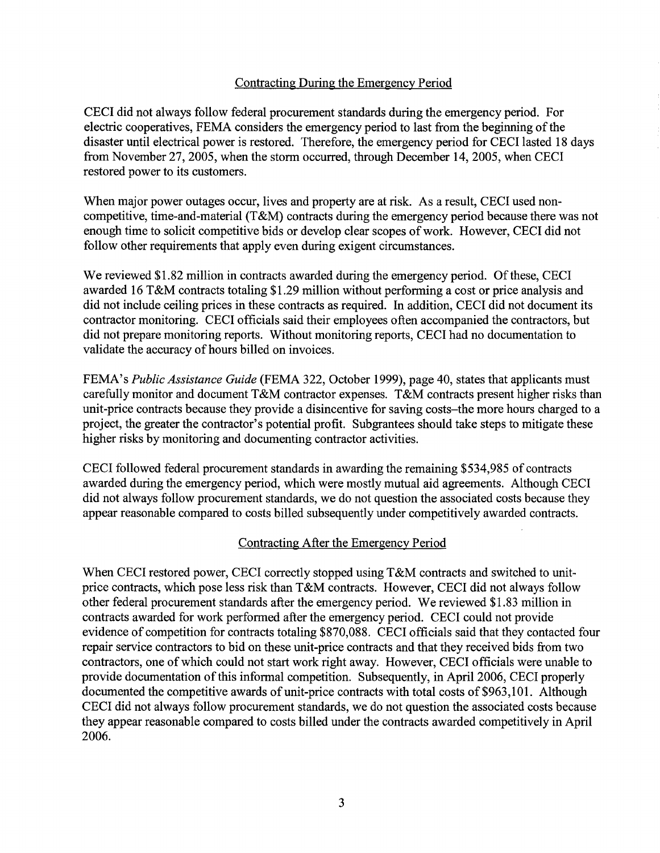## Contracting During the Emergency Period

CECI did not always follow federal procurement standards during the emergency period. For electric cooperatives, FEMA considers the emergency period to last from the beginning of the disaster until electrical power is restored. Therefore, the emergency period for CECI lasted 18 days from November 27,2005, when the storm occurred, through December 14, 2005, when CECI restored power to its customers.

When major power outages occur, lives and property are at risk. As a result, CECI used noncompetitive, time-and-material (T&M) contracts during the emergency period because there was not enough time to solicit competitive bids or develop clear scopes of work. However, CECI did not follow other requirements that apply even during exigent circumstances.

We reviewed \$1.82 million in contracts awarded during the emergency period. Of these, CECI awarded 16 T&M contracts totaling \$1.29 million without performing a cost or price analysis and did not include ceiling prices in these contracts as required. In addition, CECI did not document its contractor monitoring. CECI officials said their employees often accompanied the contractors, but did not prepare monitoring reports. Without monitoring reports, CECI had no documentation to validate the accuracy of hours billed on invoices.

FEMA's *Public Assistance Guide* (FEMA 322, October 1999), page 40, states that applicants must carefully monitor and document T&M contractor expenses. T&M contracts present higher risks than unit-price contracts because they provide a disincentive for saving costs-the more hours charged to a project, the greater the contractor's potential profit. Subgrantees should take steps to mitigate these higher risks by monitoring and documenting contractor activities.

CECI followed federal procurement standards in awarding the remaining \$534,985 of contracts awarded during the emergency period, which were mostly mutual aid agreements. Although CECI did not always follow procurement standards, we do not question the associated costs because they appear reasonable compared to costs billed subsequently under competitively awarded contracts.

#### Contracting After the Emergency Period

When CECI restored power, CECI correctly stopped using T&M contracts and switched to unitprice contracts, which pose less risk than T&M contracts. However, CECI did not always follow other federal procurement standards after the emergency period. We reviewed \$1.83 million in contracts awarded for work performed after the emergency period. CECI could not provide evidence of competition for contracts totaling \$870,088. CECI officials said that they contacted four repair service contractors to bid on these unit-price contracts and that they received bids from two contractors, one of which could not start work right away. However, CECI officials were unable to provide documentation of this informal competition. Subsequently, in April 2006, CECI properly documented the competitive awards of unit-price contracts with total costs of \$963,101. Although CECI did not always follow procurement standards, we do not question the associated costs because they appear reasonable compared to costs billed under the contracts awarded competitively in April 2006.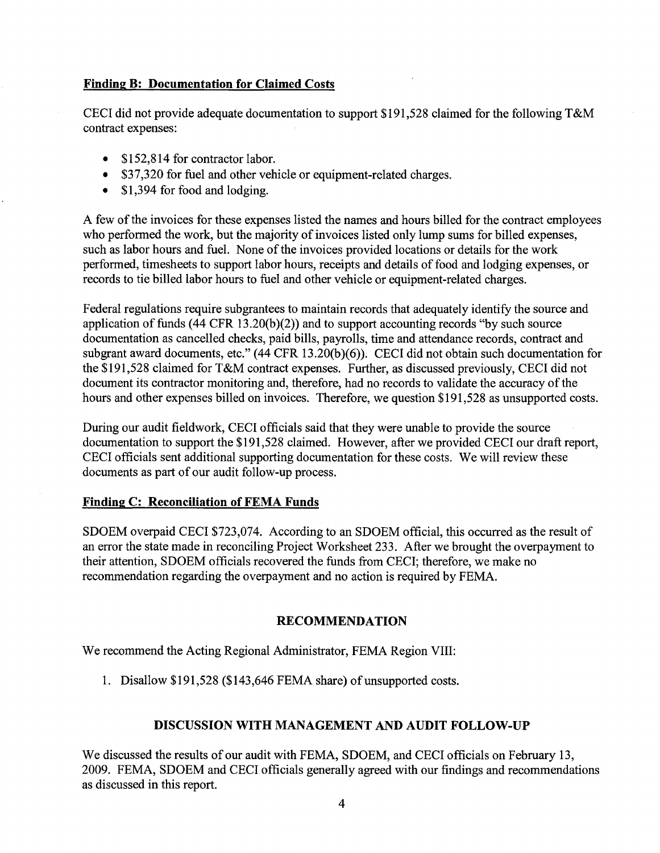## **Finding B: Documentation for Claimed Costs**

CECI did not provide adequate documentation to support \$191,528 claimed for the following T&M contract expenses:

- \$152,814 for contractor labor.
- \$37,320 for fuel and other vehicle or equipment-related charges.
- \$1,394 for food and lodging.

A few of the invoices for these expenses listed the names and hours billed for the contract employees who performed the work, but the majority of invoices listed only lump sums for billed expenses, such as labor hours and fuel. None of the invoices provided locations or details for the work performed, timesheets to support labor hours, receipts and details of food and lodging expenses, or records to tie billed labor hours to fuel and other vehicle or equipment-related charges.

Federal regulations require subgrantees to maintain records that adequately identify the source and application of funds (44 CFR 13.20(b)(2)) and to support accounting records "by such source documentation as cancelled checks, paid bills, payrolls, time and attendance records, contract and subgrant award documents, etc." (44 CFR 13.20(b)(6)). CECI did not obtain such documentation for the \$191,528 claimed for T&M contract expenses. Further, as discussed previously, CECI did not document its contractor monitoring and, therefore, had no records to validate the accuracy of the hours and other expenses billed on invoices. Therefore, we question \$191,528 as unsupported costs.

During our audit fieldwork, CECI officials said that they were unable to provide the source documentation to support the \$191,528 claimed. However, after we provided CECI our draft report, CECI officials sent additional supporting documentation for these costs. We will review these documents as part of our audit follow-up process.

#### **Finding C: Reconciliation of FEMA Funds**

SDOEM overpaid CECI \$723,074. According to an SDOEM official, this occurred as the result of an error the state made in reconciling Project Worksheet 233. After we brought the overpayment to their attention, SDOEM officials recovered the funds from CECI; therefore, we make no recommendation regarding the overpayment and no action is required by FEMA.

#### **RECOMMENDATION**

We recommend the Acting Regional Administrator, FEMA Region VIII:

1. Disallow \$191,528 (\$143,646 FEMA share) of unsupported costs.

# **DISCUSSION WITH MANAGEMENT AND AUDIT FOLLOW-UP**

We discussed the results of our audit with FEMA, SDOEM, and CECI officials on February 13, 2009. FEMA, SDOEM and CECI officials generally agreed with our findings and recommendations as discussed in this report.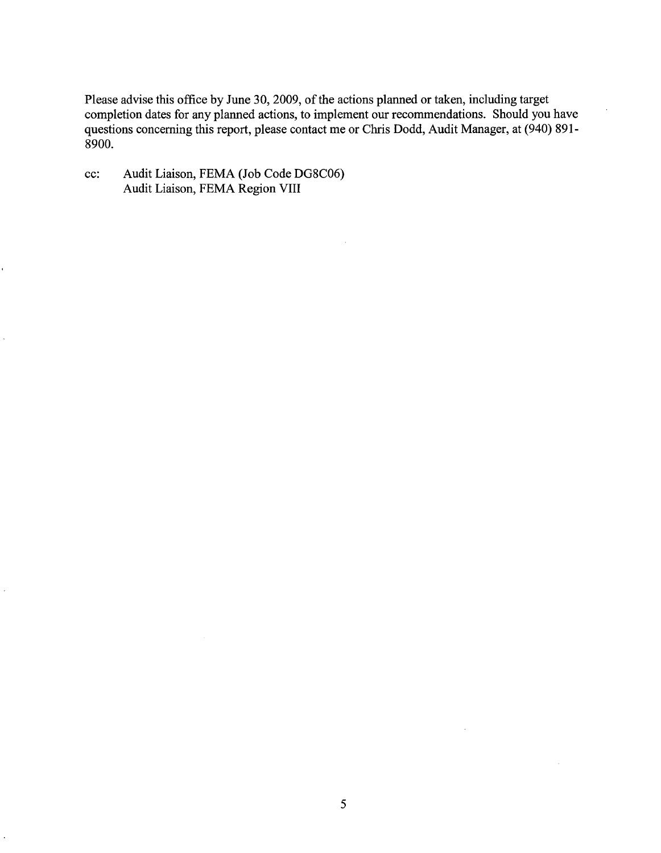Please advise this office by June 30, 2009, of the actions planned or taken, including target completion dates for any planned actions, to implement our recommendations. Should you have questions concerning this report, please contact me or Chris Dodd, Audit Manager, at (940) 891-8900.

 $\mathcal{A}$ 

cc: Audit Liaison, FEMA (Job Code DG8C06) Audit Liaison, FEMA Region VIII

 $\sim$